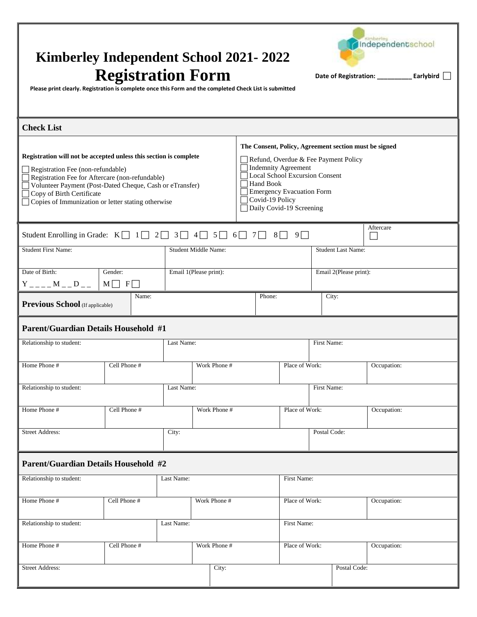| <b>Kimberley Independent School 2021-2022</b><br>Please print clearly. Registration is complete once this Form and the completed Check List is submitted                                                                                                                                                 |                       | <b>Registration Form</b>     |                      |                        |                                                                                                                                                                                                                                                                      |                |                                     |                |                        |                           | Independentschool<br>Date of Registration: _____________ Earlybird |  |
|----------------------------------------------------------------------------------------------------------------------------------------------------------------------------------------------------------------------------------------------------------------------------------------------------------|-----------------------|------------------------------|----------------------|------------------------|----------------------------------------------------------------------------------------------------------------------------------------------------------------------------------------------------------------------------------------------------------------------|----------------|-------------------------------------|----------------|------------------------|---------------------------|--------------------------------------------------------------------|--|
| <b>Check List</b>                                                                                                                                                                                                                                                                                        |                       |                              |                      |                        |                                                                                                                                                                                                                                                                      |                |                                     |                |                        |                           |                                                                    |  |
| Registration will not be accepted unless this section is complete<br>Registration Fee (non-refundable)<br>Registration Fee for Aftercare (non-refundable)<br>Volunteer Payment (Post-Dated Cheque, Cash or eTransfer)<br>Copy of Birth Certificate<br>Copies of Immunization or letter stating otherwise |                       |                              |                      |                        | The Consent, Policy, Agreement section must be signed<br>Refund, Overdue & Fee Payment Policy<br>Indemnity Agreement<br><b>Local School Excursion Consent</b><br><b>Hand Book</b><br><b>Emergency Evacuation Form</b><br>Covid-19 Policy<br>Daily Covid-19 Screening |                |                                     |                |                        |                           |                                                                    |  |
| Student Enrolling in Grade: $K \begin{bmatrix} 1 \end{bmatrix}$ $2 \begin{bmatrix} 3 \end{bmatrix}$ $4 \begin{bmatrix} 5 \end{bmatrix}$                                                                                                                                                                  |                       |                              |                      |                        |                                                                                                                                                                                                                                                                      |                | $6 \square$ 7 $\square$ 8 $\square$ | $9\Box$        |                        |                           | Aftercare                                                          |  |
| <b>Student First Name:</b>                                                                                                                                                                                                                                                                               |                       |                              | Student Middle Name: |                        |                                                                                                                                                                                                                                                                      |                |                                     |                |                        | <b>Student Last Name:</b> |                                                                    |  |
| Date of Birth:<br>$Y_{---}$ $M_{---}$ $D_{---}$                                                                                                                                                                                                                                                          | Gender:<br>$M \cap F$ |                              |                      | Email 1(Please print): |                                                                                                                                                                                                                                                                      |                |                                     |                | Email 2(Please print): |                           |                                                                    |  |
| Name:<br><b>Previous School</b> (If applicable)                                                                                                                                                                                                                                                          |                       |                              | Phone:               |                        |                                                                                                                                                                                                                                                                      | City:          |                                     |                |                        |                           |                                                                    |  |
| <b>Parent/Guardian Details Household #1</b>                                                                                                                                                                                                                                                              |                       |                              |                      |                        |                                                                                                                                                                                                                                                                      |                |                                     |                |                        |                           |                                                                    |  |
| Relationship to student:                                                                                                                                                                                                                                                                                 |                       |                              | Last Name:           |                        |                                                                                                                                                                                                                                                                      | First Name:    |                                     |                |                        |                           |                                                                    |  |
| Home Phone #                                                                                                                                                                                                                                                                                             |                       | Cell Phone #<br>Work Phone # |                      |                        |                                                                                                                                                                                                                                                                      | Place of Work: |                                     |                | Occupation:            |                           |                                                                    |  |
| Relationship to student:                                                                                                                                                                                                                                                                                 |                       | Last Name:                   |                      |                        |                                                                                                                                                                                                                                                                      | First Name:    |                                     |                |                        |                           |                                                                    |  |
| Home Phone #<br>Cell Phone #                                                                                                                                                                                                                                                                             |                       |                              | Work Phone #         |                        |                                                                                                                                                                                                                                                                      |                | Place of Work:<br>Occupation:       |                |                        |                           |                                                                    |  |
| <b>Street Address:</b>                                                                                                                                                                                                                                                                                   |                       | City:                        |                      |                        |                                                                                                                                                                                                                                                                      |                | Postal Code:                        |                |                        |                           |                                                                    |  |
| <b>Parent/Guardian Details Household #2</b>                                                                                                                                                                                                                                                              |                       |                              |                      |                        |                                                                                                                                                                                                                                                                      |                |                                     |                |                        |                           |                                                                    |  |
| Relationship to student:                                                                                                                                                                                                                                                                                 |                       | Last Name:                   |                      |                        |                                                                                                                                                                                                                                                                      | First Name:    |                                     |                |                        |                           |                                                                    |  |
| Home Phone #                                                                                                                                                                                                                                                                                             | Cell Phone #          |                              | Work Phone #         |                        | Place of Work:                                                                                                                                                                                                                                                       |                | Occupation:                         |                |                        |                           |                                                                    |  |
| Relationship to student:                                                                                                                                                                                                                                                                                 |                       | Last Name:                   |                      |                        |                                                                                                                                                                                                                                                                      |                | First Name:                         |                |                        |                           |                                                                    |  |
| Home Phone #                                                                                                                                                                                                                                                                                             | Cell Phone #          |                              |                      |                        | Work Phone #                                                                                                                                                                                                                                                         |                |                                     | Place of Work: |                        |                           | Occupation:                                                        |  |
| <b>Street Address:</b>                                                                                                                                                                                                                                                                                   |                       |                              |                      |                        | City:                                                                                                                                                                                                                                                                |                |                                     |                |                        | Postal Code:              |                                                                    |  |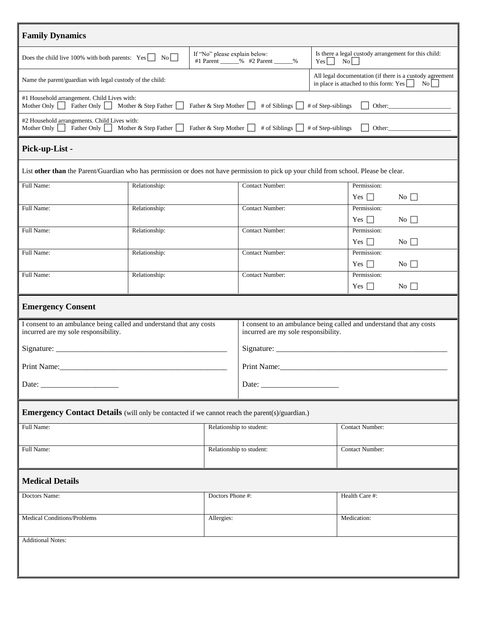| <b>Family Dynamics</b>                                                                                                                                                                                                       |               |                          |                                                                     |                                                                                                            |  |  |
|------------------------------------------------------------------------------------------------------------------------------------------------------------------------------------------------------------------------------|---------------|--------------------------|---------------------------------------------------------------------|------------------------------------------------------------------------------------------------------------|--|--|
| If "No" please explain below:<br>Does the child live 100% with both parents: $Yes \fbox{ 0}$ No<br>#1 Parent ______% #2 Parent _____%                                                                                        |               |                          |                                                                     | Is there a legal custody arrangement for this child:<br>$Yes$ No                                           |  |  |
| Name the parent/guardian with legal custody of the child:                                                                                                                                                                    |               |                          |                                                                     | All legal documentation (if there is a custody agreement<br>in place is attached to this form: $Yes$<br>No |  |  |
| #1 Household arrangement. Child Lives with:<br>Father Only Mother & Step Father<br>Mother Only $\vert$                                                                                                                       |               |                          | Father & Step Mother # of Siblings                                  | # of Step-siblings<br>Other:                                                                               |  |  |
| #2 Household arrangements. Child Lives with:<br>Father Only Mother & Step Father<br>Mother Only                                                                                                                              |               |                          | Father & Step Mother $\Box$ # of Siblings $\Box$ # of Step-siblings | Other:                                                                                                     |  |  |
| Pick-up-List -                                                                                                                                                                                                               |               |                          |                                                                     |                                                                                                            |  |  |
| List other than the Parent/Guardian who has permission or does not have permission to pick up your child from school. Please be clear.                                                                                       |               |                          |                                                                     |                                                                                                            |  |  |
| Full Name:                                                                                                                                                                                                                   | Relationship: |                          | <b>Contact Number:</b>                                              | Permission:<br>Yes $\Box$<br>$\overline{N_0}$                                                              |  |  |
| Full Name:                                                                                                                                                                                                                   | Relationship: |                          | <b>Contact Number:</b>                                              | Permission:<br>Yes $\Box$<br>$\overline{N_0}$                                                              |  |  |
| Full Name:                                                                                                                                                                                                                   | Relationship: |                          | Contact Number:                                                     | Permission:<br>$Yes \Box$<br>$No \Box$                                                                     |  |  |
| Full Name:                                                                                                                                                                                                                   | Relationship: |                          | Contact Number:                                                     | Permission:                                                                                                |  |  |
| Full Name:                                                                                                                                                                                                                   | Relationship: |                          | Contact Number:                                                     | Yes $\Box$<br>$No \ \Box$<br>Permission:                                                                   |  |  |
|                                                                                                                                                                                                                              |               |                          |                                                                     | $No \ \Box$<br>Yes $\Box$                                                                                  |  |  |
| <b>Emergency Consent</b>                                                                                                                                                                                                     |               |                          |                                                                     |                                                                                                            |  |  |
| I consent to an ambulance being called and understand that any costs<br>I consent to an ambulance being called and understand that any costs<br>incurred are my sole responsibility.<br>incurred are my sole responsibility. |               |                          |                                                                     |                                                                                                            |  |  |
|                                                                                                                                                                                                                              |               |                          |                                                                     |                                                                                                            |  |  |
| Print Name:                                                                                                                                                                                                                  |               |                          |                                                                     | Print Name:                                                                                                |  |  |
|                                                                                                                                                                                                                              |               |                          |                                                                     |                                                                                                            |  |  |
| <b>Emergency Contact Details</b> (will only be contacted if we cannot reach the parent(s)/guardian.)                                                                                                                         |               |                          |                                                                     |                                                                                                            |  |  |
| Full Name:                                                                                                                                                                                                                   |               |                          | Relationship to student:                                            | Contact Number:                                                                                            |  |  |
| Full Name:                                                                                                                                                                                                                   |               | Relationship to student: | <b>Contact Number:</b>                                              |                                                                                                            |  |  |
| <b>Medical Details</b>                                                                                                                                                                                                       |               |                          |                                                                     |                                                                                                            |  |  |
| Doctors Name:                                                                                                                                                                                                                |               | Doctors Phone #:         |                                                                     | Health Care #:                                                                                             |  |  |
| <b>Medical Conditions/Problems</b><br>Allergies:                                                                                                                                                                             |               |                          |                                                                     | Medication:                                                                                                |  |  |
| <b>Additional Notes:</b>                                                                                                                                                                                                     |               |                          |                                                                     |                                                                                                            |  |  |
|                                                                                                                                                                                                                              |               |                          |                                                                     |                                                                                                            |  |  |
|                                                                                                                                                                                                                              |               |                          |                                                                     |                                                                                                            |  |  |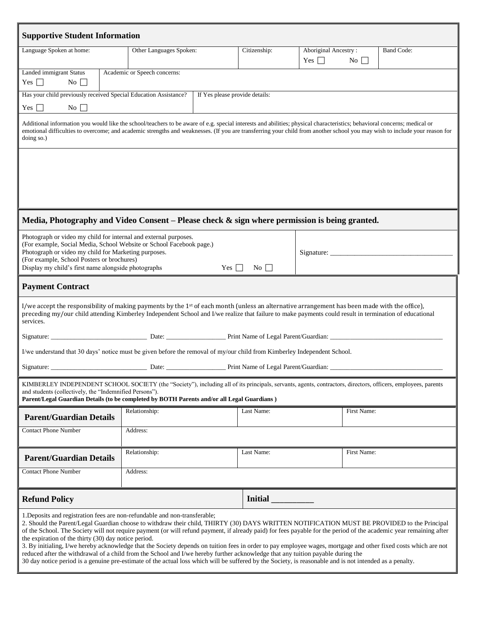| <b>Supportive Student Information</b>                                                                                                                                                                                                                                                                                                                                                                                                                                                                                                                                                                                                                                                                                                                                                                                                                                                                                     |                                     |            |                |                      |                  |                   |  |
|---------------------------------------------------------------------------------------------------------------------------------------------------------------------------------------------------------------------------------------------------------------------------------------------------------------------------------------------------------------------------------------------------------------------------------------------------------------------------------------------------------------------------------------------------------------------------------------------------------------------------------------------------------------------------------------------------------------------------------------------------------------------------------------------------------------------------------------------------------------------------------------------------------------------------|-------------------------------------|------------|----------------|----------------------|------------------|-------------------|--|
| Language Spoken at home:                                                                                                                                                                                                                                                                                                                                                                                                                                                                                                                                                                                                                                                                                                                                                                                                                                                                                                  | Other Languages Spoken:             |            | Citizenship:   | Aboriginal Ancestry: |                  | <b>Band Code:</b> |  |
|                                                                                                                                                                                                                                                                                                                                                                                                                                                                                                                                                                                                                                                                                                                                                                                                                                                                                                                           |                                     |            |                | Yes $\Box$           | $\overline{N_0}$ |                   |  |
| Academic or Speech concerns:<br>Landed immigrant Status<br>Yes $\Box$<br>$\overline{N_0}$                                                                                                                                                                                                                                                                                                                                                                                                                                                                                                                                                                                                                                                                                                                                                                                                                                 |                                     |            |                |                      |                  |                   |  |
| Has your child previously received Special Education Assistance?<br>If Yes please provide details:                                                                                                                                                                                                                                                                                                                                                                                                                                                                                                                                                                                                                                                                                                                                                                                                                        |                                     |            |                |                      |                  |                   |  |
| Yes $\Box$<br>$\overline{N_0}$                                                                                                                                                                                                                                                                                                                                                                                                                                                                                                                                                                                                                                                                                                                                                                                                                                                                                            |                                     |            |                |                      |                  |                   |  |
| Additional information you would like the school/teachers to be aware of e.g. special interests and abilities; physical characteristics; behavioral concerns; medical or<br>emotional difficulties to overcome; and academic strengths and weaknesses. (If you are transferring your child from another school you may wish to include your reason for<br>doing so.)                                                                                                                                                                                                                                                                                                                                                                                                                                                                                                                                                      |                                     |            |                |                      |                  |                   |  |
|                                                                                                                                                                                                                                                                                                                                                                                                                                                                                                                                                                                                                                                                                                                                                                                                                                                                                                                           |                                     |            |                |                      |                  |                   |  |
| Media, Photography and Video Consent - Please check & sign where permission is being granted.                                                                                                                                                                                                                                                                                                                                                                                                                                                                                                                                                                                                                                                                                                                                                                                                                             |                                     |            |                |                      |                  |                   |  |
| Photograph or video my child for internal and external purposes.<br>(For example, Social Media, School Website or School Facebook page.)<br>Photograph or video my child for Marketing purposes.<br>(For example, School Posters or brochures)<br>Display my child's first name alongside photographs                                                                                                                                                                                                                                                                                                                                                                                                                                                                                                                                                                                                                     | $Yes \mid \mid$<br>$\overline{N_0}$ | Signature: |                |                      |                  |                   |  |
| <b>Payment Contract</b>                                                                                                                                                                                                                                                                                                                                                                                                                                                                                                                                                                                                                                                                                                                                                                                                                                                                                                   |                                     |            |                |                      |                  |                   |  |
| I/we accept the responsibility of making payments by the 1 <sup>st</sup> of each month (unless an alternative arrangement has been made with the office),<br>preceding my/our child attending Kimberley Independent School and I/we realize that failure to make payments could result in termination of educational<br>services.                                                                                                                                                                                                                                                                                                                                                                                                                                                                                                                                                                                         |                                     |            |                |                      |                  |                   |  |
|                                                                                                                                                                                                                                                                                                                                                                                                                                                                                                                                                                                                                                                                                                                                                                                                                                                                                                                           |                                     |            |                |                      |                  |                   |  |
| I/we understand that 30 days' notice must be given before the removal of my/our child from Kimberley Independent School.                                                                                                                                                                                                                                                                                                                                                                                                                                                                                                                                                                                                                                                                                                                                                                                                  |                                     |            |                |                      |                  |                   |  |
|                                                                                                                                                                                                                                                                                                                                                                                                                                                                                                                                                                                                                                                                                                                                                                                                                                                                                                                           |                                     |            |                |                      |                  |                   |  |
| KIMBERLEY INDEPENDENT SCHOOL SOCIETY (the "Society"), including all of its principals, servants, agents, contractors, directors, officers, employees, parents<br>and students (collectively, the "Indemnified Persons").<br>Parent/Legal Guardian Details (to be completed by BOTH Parents and/or all Legal Guardians)                                                                                                                                                                                                                                                                                                                                                                                                                                                                                                                                                                                                    |                                     |            |                |                      |                  |                   |  |
| <b>Parent/Guardian Details</b>                                                                                                                                                                                                                                                                                                                                                                                                                                                                                                                                                                                                                                                                                                                                                                                                                                                                                            | Relationship:                       |            | Last Name:     |                      | First Name:      |                   |  |
| <b>Contact Phone Number</b>                                                                                                                                                                                                                                                                                                                                                                                                                                                                                                                                                                                                                                                                                                                                                                                                                                                                                               | Address:                            |            |                |                      |                  |                   |  |
| <b>Parent/Guardian Details</b>                                                                                                                                                                                                                                                                                                                                                                                                                                                                                                                                                                                                                                                                                                                                                                                                                                                                                            | Relationship:                       |            | Last Name:     |                      | First Name:      |                   |  |
| <b>Contact Phone Number</b>                                                                                                                                                                                                                                                                                                                                                                                                                                                                                                                                                                                                                                                                                                                                                                                                                                                                                               | Address:                            |            |                |                      |                  |                   |  |
| <b>Refund Policy</b>                                                                                                                                                                                                                                                                                                                                                                                                                                                                                                                                                                                                                                                                                                                                                                                                                                                                                                      |                                     |            | <b>Initial</b> |                      |                  |                   |  |
| 1. Deposits and registration fees are non-refundable and non-transferable;<br>2. Should the Parent/Legal Guardian choose to withdraw their child, THIRTY (30) DAYS WRITTEN NOTIFICATION MUST BE PROVIDED to the Principal<br>of the School. The Society will not require payment (or will refund payment, if already paid) for fees payable for the period of the academic year remaining after<br>the expiration of the thirty (30) day notice period.<br>3. By initialing, I/we hereby acknowledge that the Society depends on tuition fees in order to pay employee wages, mortgage and other fixed costs which are not<br>reduced after the withdrawal of a child from the School and I/we hereby further acknowledge that any tuition payable during the<br>30 day notice period is a genuine pre-estimate of the actual loss which will be suffered by the Society, is reasonable and is not intended as a penalty. |                                     |            |                |                      |                  |                   |  |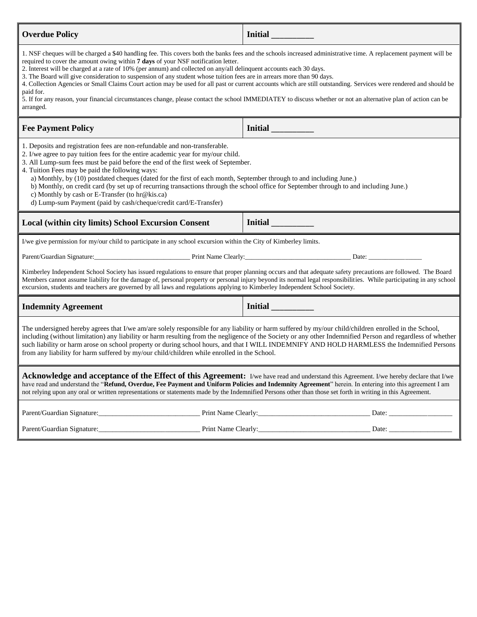| <b>Overdue Policy</b> | Initial |
|-----------------------|---------|
|                       |         |

1. NSF cheques will be charged a \$40 handling fee. This covers both the banks fees and the schools increased administrative time. A replacement payment will be required to cover the amount owing within **7 days** of your NSF notification letter.

2. Interest will be charged at a rate of 10% (per annum) and collected on any/all delinquent accounts each 30 days.

3. The Board will give consideration to suspension of any student whose tuition fees are in arrears more than 90 days.

4. Collection Agencies or Small Claims Court action may be used for all past or current accounts which are still outstanding. Services were rendered and should be paid for.

5. If for any reason, your financial circumstances change, please contact the school IMMEDIATEY to discuss whether or not an alternative plan of action can be arranged.

## **Fee Payment Policy Initial**

1. Deposits and registration fees are non-refundable and non-transferable.

- 2. I/we agree to pay tuition fees for the entire academic year for my/our child.
- 3. All Lump-sum fees must be paid before the end of the first week of September.
- 4. Tuition Fees may be paid the following ways:
	- a) Monthly, by (10) postdated cheques (dated for the first of each month, September through to and including June.)
	- b) Monthly, on credit card (by set up of recurring transactions through the school office for September through to and including June.)
	- c) Monthly by cash or E-Transfer (to hr@kis.ca)
	- d) Lump-sum Payment (paid by cash/cheque/credit card/E-Transfer)

| Local (within city limits) School Excursion Consent | <b>Initial</b> |
|-----------------------------------------------------|----------------|
|                                                     |                |

I/we give permission for my/our child to participate in any school excursion within the City of Kimberley limits.

Parent/Guardian Signature:\_\_\_\_\_\_\_\_\_\_\_\_\_\_\_\_\_\_\_\_\_\_\_\_\_\_\_\_\_ Print Name Clearly:\_\_\_\_\_\_\_\_\_\_\_\_\_\_\_\_\_\_\_\_\_\_\_\_\_\_\_\_\_\_\_\_ Date: \_\_\_\_\_\_\_\_\_\_\_\_\_\_\_\_

Kimberley Independent School Society has issued regulations to ensure that proper planning occurs and that adequate safety precautions are followed. The Board Members cannot assume liability for the damage of, personal property or personal injury beyond its normal legal responsibilities. While participating in any school excursion, students and teachers are governed by all laws and regulations applying to Kimberley Independent School Society.

The undersigned hereby agrees that I/we am/are solely responsible for any liability or harm suffered by my/our child/children enrolled in the School, including (without limitation) any liability or harm resulting from the negligence of the Society or any other Indemnified Person and regardless of whether such liability or harm arose on school property or during school hours, and that I WILL INDEMNIFY AND HOLD HARMLESS the Indemnified Persons from any liability for harm suffered by my/our child/children while enrolled in the School.

**Acknowledge and acceptance of the Effect of this Agreement:** I/we have read and understand this Agreement. I/we hereby declare that I/we have read and understand the "**Refund, Overdue, Fee Payment and Uniform Policies and Indemnity Agreement**" herein. In entering into this agreement I am not relying upon any oral or written representations or statements made by the Indemnified Persons other than those set forth in writing in this Agreement.

| Parent/Guardian Signature: | Print Name Clearly: | Date: |
|----------------------------|---------------------|-------|
| Parent/Guardian Signature: | Print Name Clearly: | Date: |